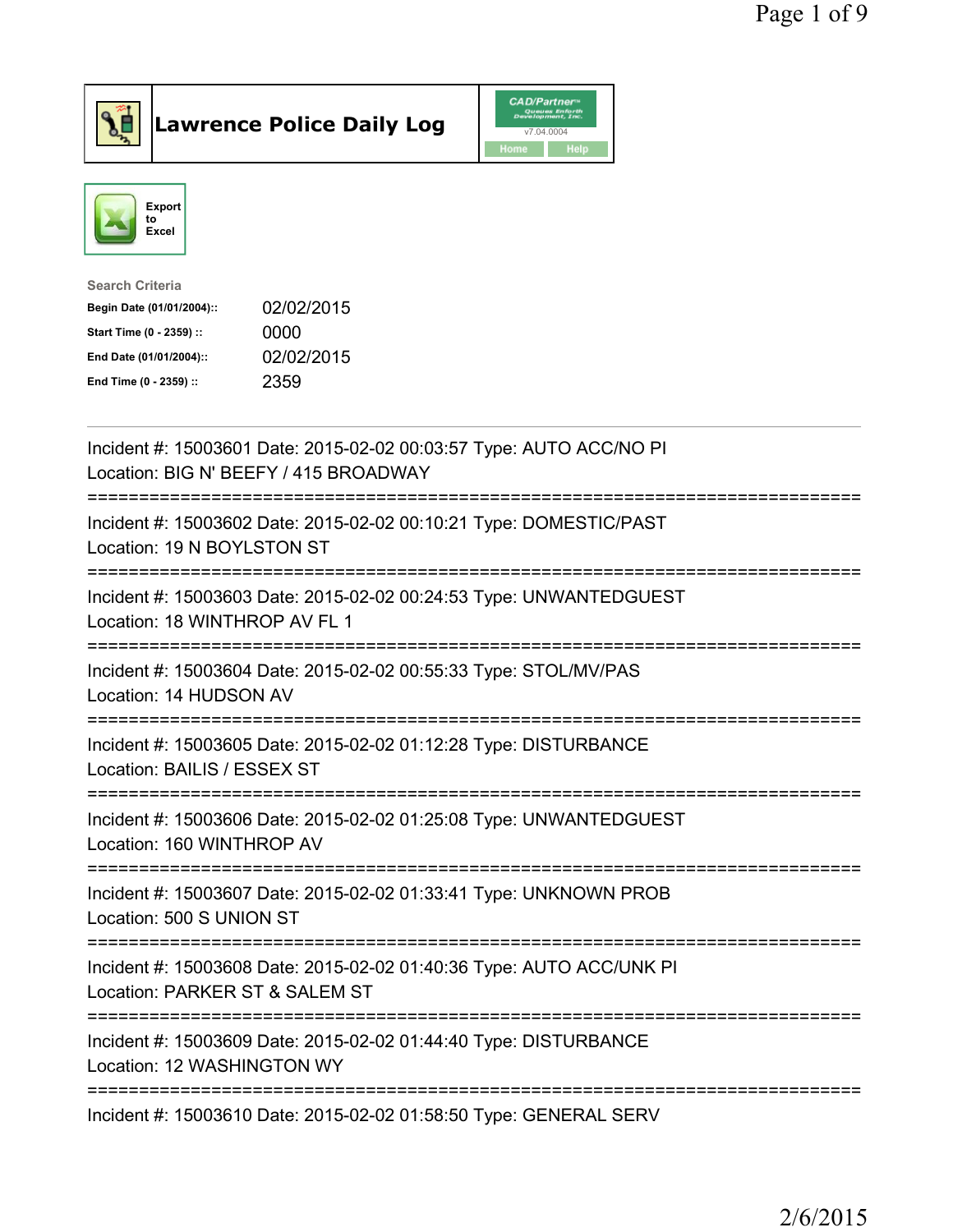

Lawrence Police Daily Log CAD/Partners



| <b>Search Criteria</b>    |            |
|---------------------------|------------|
| Begin Date (01/01/2004):: | 02/02/2015 |
| Start Time (0 - 2359) ::  | 0000       |
| End Date (01/01/2004)::   | 02/02/2015 |
| End Time (0 - 2359) ::    | 2359       |
|                           |            |

| Incident #: 15003601 Date: 2015-02-02 00:03:57 Type: AUTO ACC/NO PI<br>Location: BIG N' BEEFY / 415 BROADWAY<br>:======================= |
|------------------------------------------------------------------------------------------------------------------------------------------|
| Incident #: 15003602 Date: 2015-02-02 00:10:21 Type: DOMESTIC/PAST<br>Location: 19 N BOYLSTON ST                                         |
| Incident #: 15003603 Date: 2015-02-02 00:24:53 Type: UNWANTEDGUEST<br>Location: 18 WINTHROP AV FL 1<br>---------------------             |
| Incident #: 15003604 Date: 2015-02-02 00:55:33 Type: STOL/MV/PAS<br>Location: 14 HUDSON AV                                               |
| Incident #: 15003605 Date: 2015-02-02 01:12:28 Type: DISTURBANCE<br>Location: BAILIS / ESSEX ST                                          |
| Incident #: 15003606 Date: 2015-02-02 01:25:08 Type: UNWANTEDGUEST<br>Location: 160 WINTHROP AV                                          |
| Incident #: 15003607 Date: 2015-02-02 01:33:41 Type: UNKNOWN PROB<br>Location: 500 S UNION ST<br>----------------                        |
| Incident #: 15003608 Date: 2015-02-02 01:40:36 Type: AUTO ACC/UNK PI<br>Location: PARKER ST & SALEM ST                                   |
| Incident #: 15003609 Date: 2015-02-02 01:44:40 Type: DISTURBANCE<br>Location: 12 WASHINGTON WY                                           |
| Incident #: 15003610 Date: 2015-02-02 01:58:50 Type: GENERAL SERV                                                                        |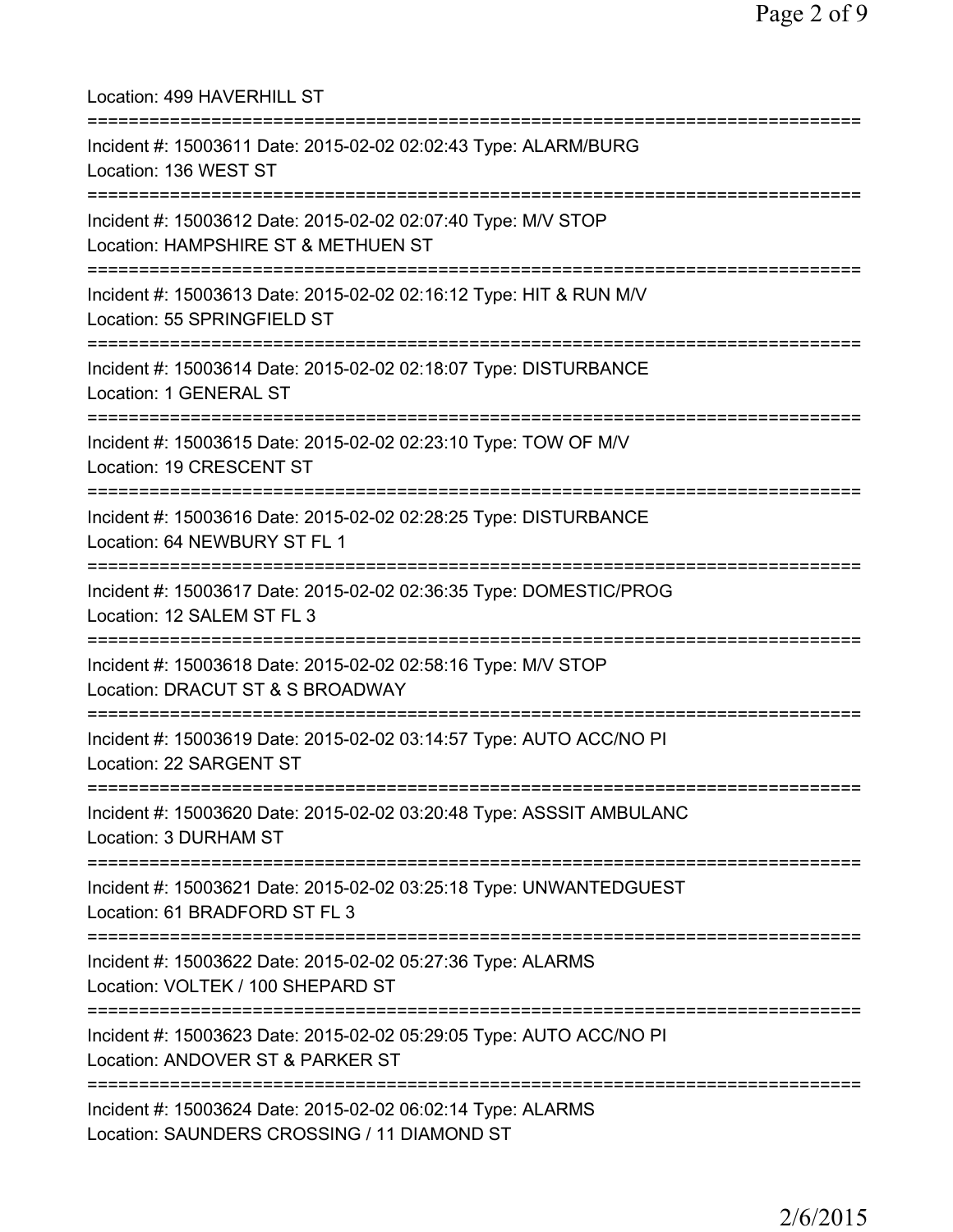| Location: 499 HAVERHILL ST<br>=====================                                                                                           |
|-----------------------------------------------------------------------------------------------------------------------------------------------|
| Incident #: 15003611 Date: 2015-02-02 02:02:43 Type: ALARM/BURG<br>Location: 136 WEST ST                                                      |
| Incident #: 15003612 Date: 2015-02-02 02:07:40 Type: M/V STOP<br>Location: HAMPSHIRE ST & METHUEN ST<br>===================================== |
| Incident #: 15003613 Date: 2015-02-02 02:16:12 Type: HIT & RUN M/V<br>Location: 55 SPRINGFIELD ST<br>=========================                |
| Incident #: 15003614 Date: 2015-02-02 02:18:07 Type: DISTURBANCE<br>Location: 1 GENERAL ST                                                    |
| =============================<br>Incident #: 15003615 Date: 2015-02-02 02:23:10 Type: TOW OF M/V<br>Location: 19 CRESCENT ST                  |
| Incident #: 15003616 Date: 2015-02-02 02:28:25 Type: DISTURBANCE<br>Location: 64 NEWBURY ST FL 1                                              |
| Incident #: 15003617 Date: 2015-02-02 02:36:35 Type: DOMESTIC/PROG<br>Location: 12 SALEM ST FL 3                                              |
| Incident #: 15003618 Date: 2015-02-02 02:58:16 Type: M/V STOP<br>Location: DRACUT ST & S BROADWAY                                             |
| Incident #: 15003619 Date: 2015-02-02 03:14:57 Type: AUTO ACC/NO PI<br>Location: 22 SARGENT ST                                                |
| Incident #: 15003620 Date: 2015-02-02 03:20:48 Type: ASSSIT AMBULANC<br>Location: 3 DURHAM ST                                                 |
| Incident #: 15003621 Date: 2015-02-02 03:25:18 Type: UNWANTEDGUEST<br>Location: 61 BRADFORD ST FL 3                                           |
| Incident #: 15003622 Date: 2015-02-02 05:27:36 Type: ALARMS<br>Location: VOLTEK / 100 SHEPARD ST                                              |
| Incident #: 15003623 Date: 2015-02-02 05:29:05 Type: AUTO ACC/NO PI<br>Location: ANDOVER ST & PARKER ST                                       |
| Incident #: 15003624 Date: 2015-02-02 06:02:14 Type: ALARMS<br>Location: SAUNDERS CROSSING / 11 DIAMOND ST                                    |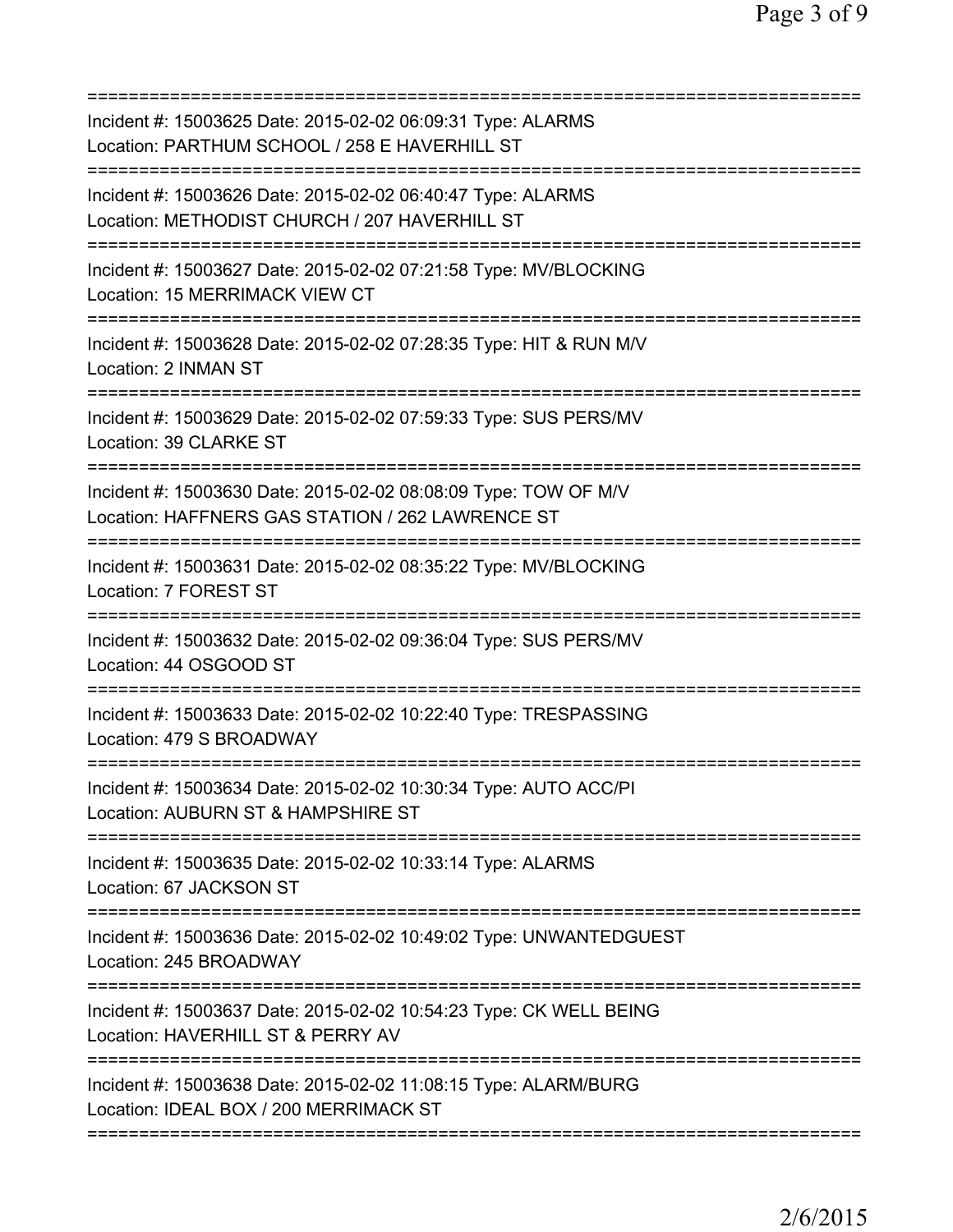| Incident #: 15003625 Date: 2015-02-02 06:09:31 Type: ALARMS<br>Location: PARTHUM SCHOOL / 258 E HAVERHILL ST                      |
|-----------------------------------------------------------------------------------------------------------------------------------|
| Incident #: 15003626 Date: 2015-02-02 06:40:47 Type: ALARMS<br>Location: METHODIST CHURCH / 207 HAVERHILL ST                      |
| Incident #: 15003627 Date: 2015-02-02 07:21:58 Type: MV/BLOCKING<br>Location: 15 MERRIMACK VIEW CT                                |
| Incident #: 15003628 Date: 2015-02-02 07:28:35 Type: HIT & RUN M/V<br>Location: 2 INMAN ST                                        |
| Incident #: 15003629 Date: 2015-02-02 07:59:33 Type: SUS PERS/MV<br>Location: 39 CLARKE ST                                        |
| Incident #: 15003630 Date: 2015-02-02 08:08:09 Type: TOW OF M/V<br>Location: HAFFNERS GAS STATION / 262 LAWRENCE ST               |
| Incident #: 15003631 Date: 2015-02-02 08:35:22 Type: MV/BLOCKING<br>Location: 7 FOREST ST                                         |
| Incident #: 15003632 Date: 2015-02-02 09:36:04 Type: SUS PERS/MV<br>Location: 44 OSGOOD ST<br>:================================== |
| Incident #: 15003633 Date: 2015-02-02 10:22:40 Type: TRESPASSING<br>Location: 479 S BROADWAY                                      |
| Incident #: 15003634 Date: 2015-02-02 10:30:34 Type: AUTO ACC/PI<br>Location: AUBURN ST & HAMPSHIRE ST                            |
| Incident #: 15003635 Date: 2015-02-02 10:33:14 Type: ALARMS<br>Location: 67 JACKSON ST                                            |
| Incident #: 15003636 Date: 2015-02-02 10:49:02 Type: UNWANTEDGUEST<br>Location: 245 BROADWAY                                      |
| Incident #: 15003637 Date: 2015-02-02 10:54:23 Type: CK WELL BEING<br>Location: HAVERHILL ST & PERRY AV                           |
| Incident #: 15003638 Date: 2015-02-02 11:08:15 Type: ALARM/BURG<br>Location: IDEAL BOX / 200 MERRIMACK ST                         |
|                                                                                                                                   |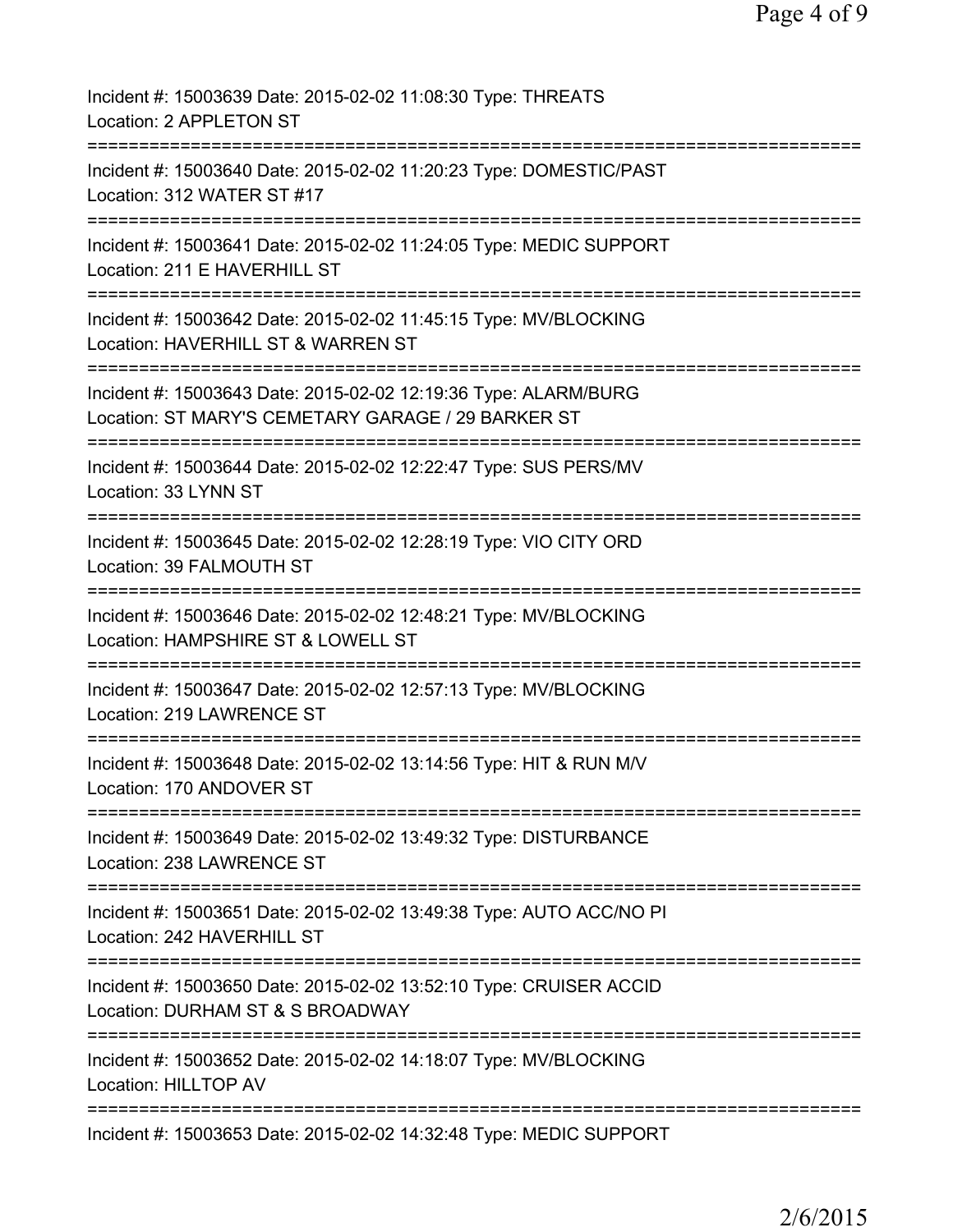| Incident #: 15003639 Date: 2015-02-02 11:08:30 Type: THREATS<br>Location: 2 APPLETON ST                                              |
|--------------------------------------------------------------------------------------------------------------------------------------|
| Incident #: 15003640 Date: 2015-02-02 11:20:23 Type: DOMESTIC/PAST<br>Location: 312 WATER ST #17                                     |
| Incident #: 15003641 Date: 2015-02-02 11:24:05 Type: MEDIC SUPPORT<br>Location: 211 E HAVERHILL ST                                   |
| Incident #: 15003642 Date: 2015-02-02 11:45:15 Type: MV/BLOCKING<br>Location: HAVERHILL ST & WARREN ST                               |
| Incident #: 15003643 Date: 2015-02-02 12:19:36 Type: ALARM/BURG<br>Location: ST MARY'S CEMETARY GARAGE / 29 BARKER ST                |
| Incident #: 15003644 Date: 2015-02-02 12:22:47 Type: SUS PERS/MV<br>Location: 33 LYNN ST                                             |
| Incident #: 15003645 Date: 2015-02-02 12:28:19 Type: VIO CITY ORD<br>Location: 39 FALMOUTH ST<br>;================================== |
| Incident #: 15003646 Date: 2015-02-02 12:48:21 Type: MV/BLOCKING<br>Location: HAMPSHIRE ST & LOWELL ST                               |
| Incident #: 15003647 Date: 2015-02-02 12:57:13 Type: MV/BLOCKING<br>Location: 219 LAWRENCE ST                                        |
| Incident #: 15003648 Date: 2015-02-02 13:14:56 Type: HIT & RUN M/V<br>Location: 170 ANDOVER ST                                       |
| ======================<br>Incident #: 15003649 Date: 2015-02-02 13:49:32 Type: DISTURBANCE<br>Location: 238 LAWRENCE ST              |
| Incident #: 15003651 Date: 2015-02-02 13:49:38 Type: AUTO ACC/NO PI<br>Location: 242 HAVERHILL ST                                    |
| Incident #: 15003650 Date: 2015-02-02 13:52:10 Type: CRUISER ACCID<br>Location: DURHAM ST & S BROADWAY                               |
| Incident #: 15003652 Date: 2015-02-02 14:18:07 Type: MV/BLOCKING<br>Location: HILLTOP AV                                             |
| =========<br>Incident #: 15003653 Date: 2015-02-02 14:32:48 Type: MEDIC SUPPORT                                                      |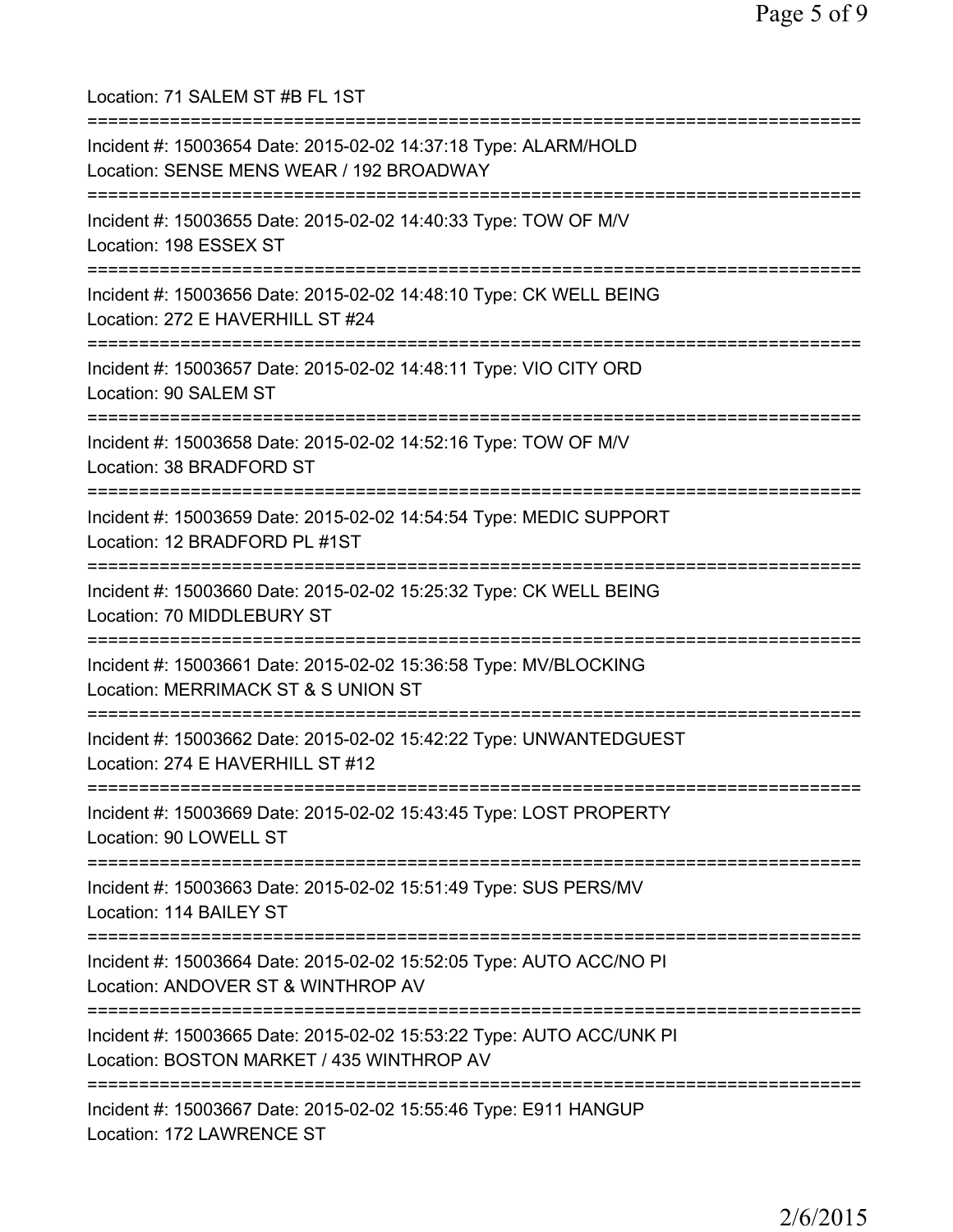Location: 71 SALEM ST #B FL 1ST =========================================================================== Incident #: 15003654 Date: 2015-02-02 14:37:18 Type: ALARM/HOLD Location: SENSE MENS WEAR / 192 BROADWAY =========================================================================== Incident #: 15003655 Date: 2015-02-02 14:40:33 Type: TOW OF M/V Location: 198 ESSEX ST =========================================================================== Incident #: 15003656 Date: 2015-02-02 14:48:10 Type: CK WELL BEING Location: 272 E HAVERHILL ST #24 =========================================================================== Incident #: 15003657 Date: 2015-02-02 14:48:11 Type: VIO CITY ORD Location: 90 SALEM ST =========================================================================== Incident #: 15003658 Date: 2015-02-02 14:52:16 Type: TOW OF M/V Location: 38 BRADFORD ST =========================================================================== Incident #: 15003659 Date: 2015-02-02 14:54:54 Type: MEDIC SUPPORT Location: 12 BRADFORD PL #1ST =========================================================================== Incident #: 15003660 Date: 2015-02-02 15:25:32 Type: CK WELL BEING Location: 70 MIDDLEBURY ST =========================================================================== Incident #: 15003661 Date: 2015-02-02 15:36:58 Type: MV/BLOCKING Location: MERRIMACK ST & S UNION ST =========================================================================== Incident #: 15003662 Date: 2015-02-02 15:42:22 Type: UNWANTEDGUEST Location: 274 E HAVERHILL ST #12 =========================================================================== Incident #: 15003669 Date: 2015-02-02 15:43:45 Type: LOST PROPERTY Location: 90 LOWELL ST =========================================================================== Incident #: 15003663 Date: 2015-02-02 15:51:49 Type: SUS PERS/MV Location: 114 BAILEY ST =========================================================================== Incident #: 15003664 Date: 2015-02-02 15:52:05 Type: AUTO ACC/NO PI Location: ANDOVER ST & WINTHROP AV =========================================================================== Incident #: 15003665 Date: 2015-02-02 15:53:22 Type: AUTO ACC/UNK PI Location: BOSTON MARKET / 435 WINTHROP AV =========================================================================== Incident #: 15003667 Date: 2015-02-02 15:55:46 Type: E911 HANGUP Location: 172 LAWRENCE ST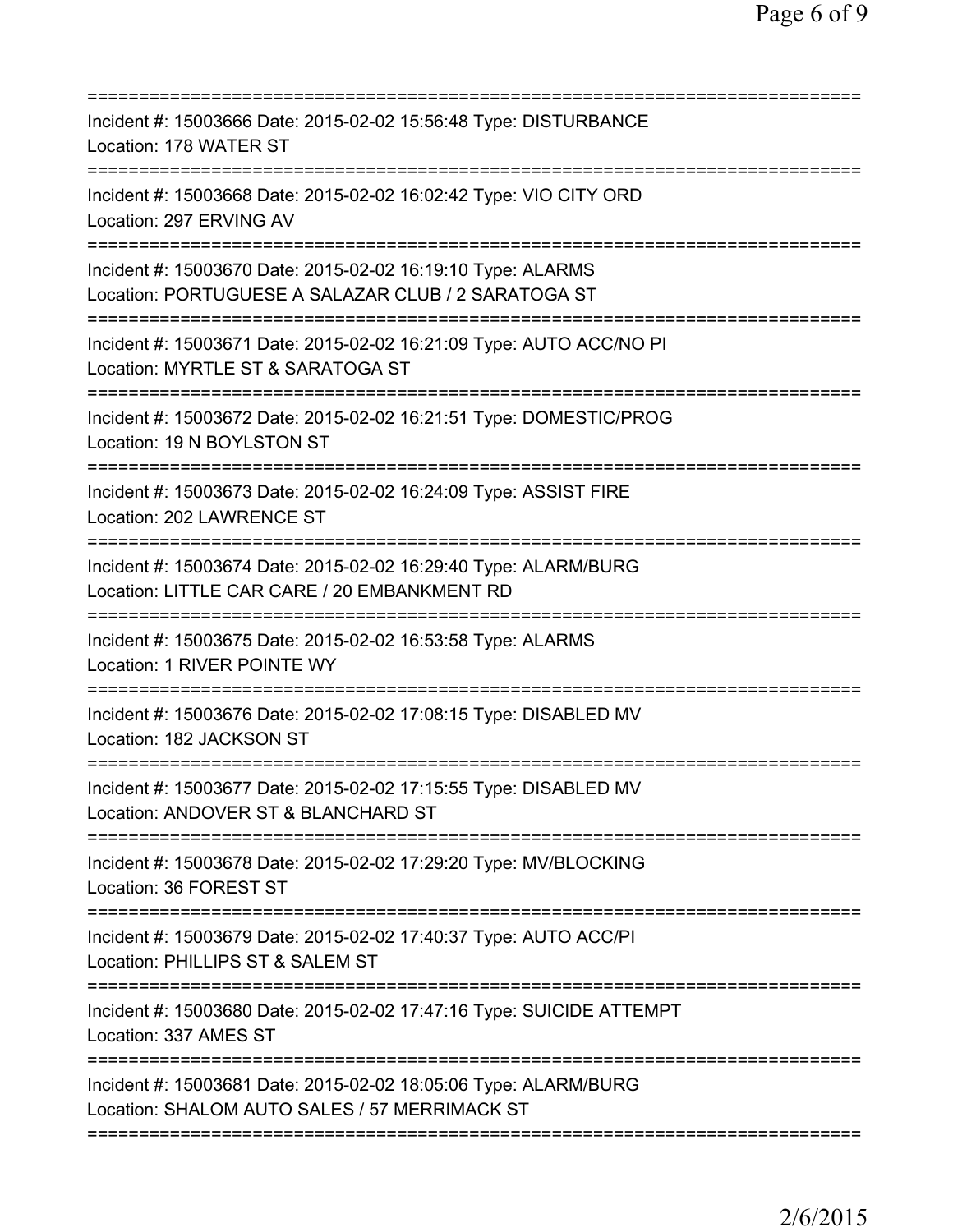| Incident #: 15003666 Date: 2015-02-02 15:56:48 Type: DISTURBANCE<br>Location: 178 WATER ST                                                  |
|---------------------------------------------------------------------------------------------------------------------------------------------|
| Incident #: 15003668 Date: 2015-02-02 16:02:42 Type: VIO CITY ORD<br>Location: 297 ERVING AV                                                |
| Incident #: 15003670 Date: 2015-02-02 16:19:10 Type: ALARMS<br>Location: PORTUGUESE A SALAZAR CLUB / 2 SARATOGA ST                          |
| Incident #: 15003671 Date: 2015-02-02 16:21:09 Type: AUTO ACC/NO PI<br>Location: MYRTLE ST & SARATOGA ST                                    |
| Incident #: 15003672 Date: 2015-02-02 16:21:51 Type: DOMESTIC/PROG<br>Location: 19 N BOYLSTON ST                                            |
| Incident #: 15003673 Date: 2015-02-02 16:24:09 Type: ASSIST FIRE<br>Location: 202 LAWRENCE ST                                               |
| Incident #: 15003674 Date: 2015-02-02 16:29:40 Type: ALARM/BURG<br>Location: LITTLE CAR CARE / 20 EMBANKMENT RD<br>======================== |
| Incident #: 15003675 Date: 2015-02-02 16:53:58 Type: ALARMS<br>Location: 1 RIVER POINTE WY                                                  |
| Incident #: 15003676 Date: 2015-02-02 17:08:15 Type: DISABLED MV<br>Location: 182 JACKSON ST                                                |
| Incident #: 15003677 Date: 2015-02-02 17:15:55 Type: DISABLED MV<br>Location: ANDOVER ST & BLANCHARD ST                                     |
| ;==================================<br>Incident #: 15003678 Date: 2015-02-02 17:29:20 Type: MV/BLOCKING<br>Location: 36 FOREST ST           |
| Incident #: 15003679 Date: 2015-02-02 17:40:37 Type: AUTO ACC/PI<br>Location: PHILLIPS ST & SALEM ST                                        |
| Incident #: 15003680 Date: 2015-02-02 17:47:16 Type: SUICIDE ATTEMPT<br>Location: 337 AMES ST                                               |
| Incident #: 15003681 Date: 2015-02-02 18:05:06 Type: ALARM/BURG<br>Location: SHALOM AUTO SALES / 57 MERRIMACK ST                            |
|                                                                                                                                             |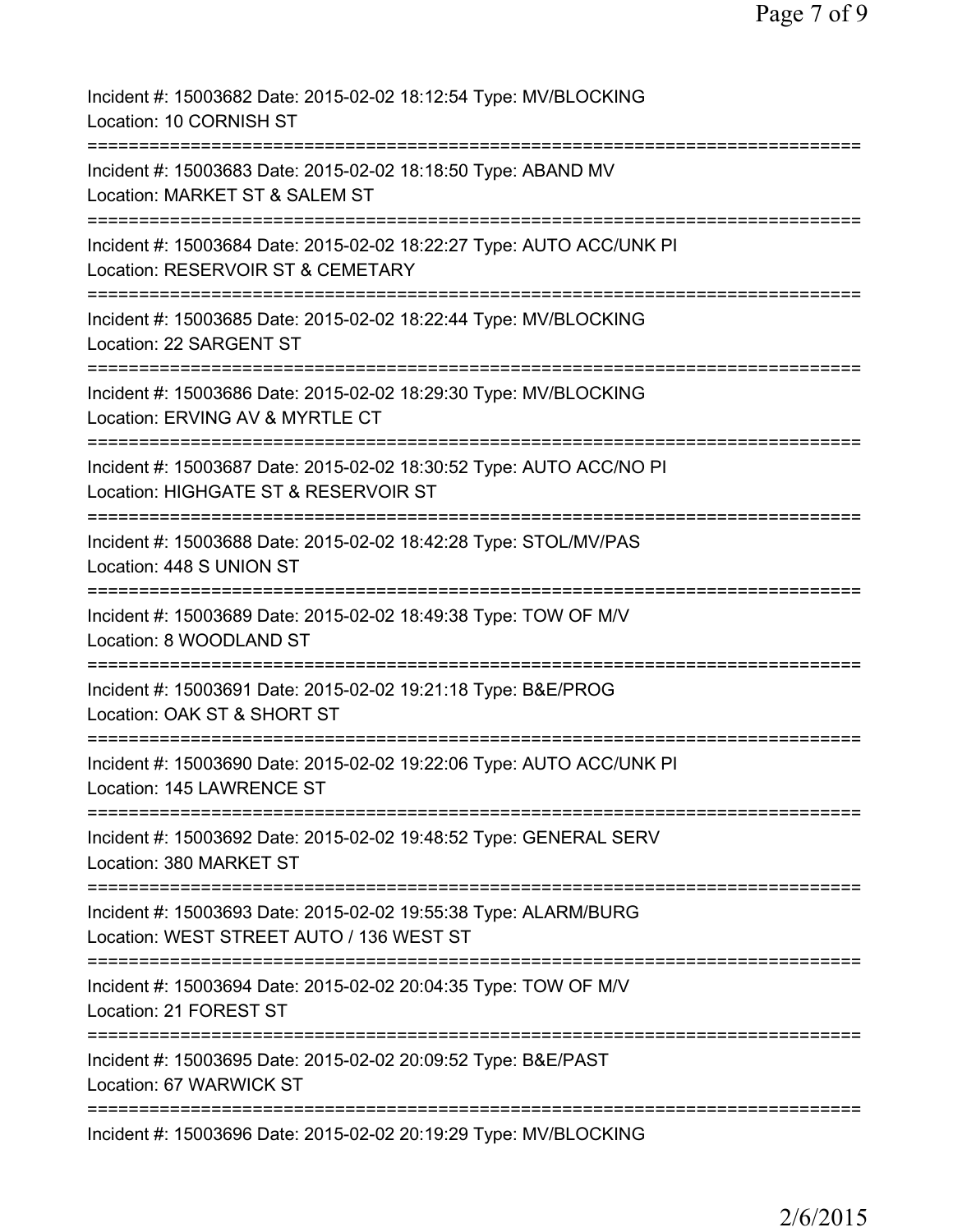| Incident #: 15003682 Date: 2015-02-02 18:12:54 Type: MV/BLOCKING<br>Location: 10 CORNISH ST                 |
|-------------------------------------------------------------------------------------------------------------|
| Incident #: 15003683 Date: 2015-02-02 18:18:50 Type: ABAND MV<br>Location: MARKET ST & SALEM ST             |
| Incident #: 15003684 Date: 2015-02-02 18:22:27 Type: AUTO ACC/UNK PI<br>Location: RESERVOIR ST & CEMETARY   |
| Incident #: 15003685 Date: 2015-02-02 18:22:44 Type: MV/BLOCKING<br>Location: 22 SARGENT ST                 |
| Incident #: 15003686 Date: 2015-02-02 18:29:30 Type: MV/BLOCKING<br>Location: ERVING AV & MYRTLE CT         |
| Incident #: 15003687 Date: 2015-02-02 18:30:52 Type: AUTO ACC/NO PI<br>Location: HIGHGATE ST & RESERVOIR ST |
| Incident #: 15003688 Date: 2015-02-02 18:42:28 Type: STOL/MV/PAS<br>Location: 448 S UNION ST                |
| Incident #: 15003689 Date: 2015-02-02 18:49:38 Type: TOW OF M/V<br>Location: 8 WOODLAND ST                  |
| Incident #: 15003691 Date: 2015-02-02 19:21:18 Type: B&E/PROG<br>Location: OAK ST & SHORT ST                |
| Incident #: 15003690 Date: 2015-02-02 19:22:06 Type: AUTO ACC/UNK PI<br>Location: 145 LAWRENCE ST           |
| Incident #: 15003692 Date: 2015-02-02 19:48:52 Type: GENERAL SERV<br>Location: 380 MARKET ST                |
| Incident #: 15003693 Date: 2015-02-02 19:55:38 Type: ALARM/BURG<br>Location: WEST STREET AUTO / 136 WEST ST |
| Incident #: 15003694 Date: 2015-02-02 20:04:35 Type: TOW OF M/V<br>Location: 21 FOREST ST                   |
| Incident #: 15003695 Date: 2015-02-02 20:09:52 Type: B&E/PAST<br>Location: 67 WARWICK ST                    |
| Incident #: 15003696 Date: 2015-02-02 20:19:29 Type: MV/BLOCKING                                            |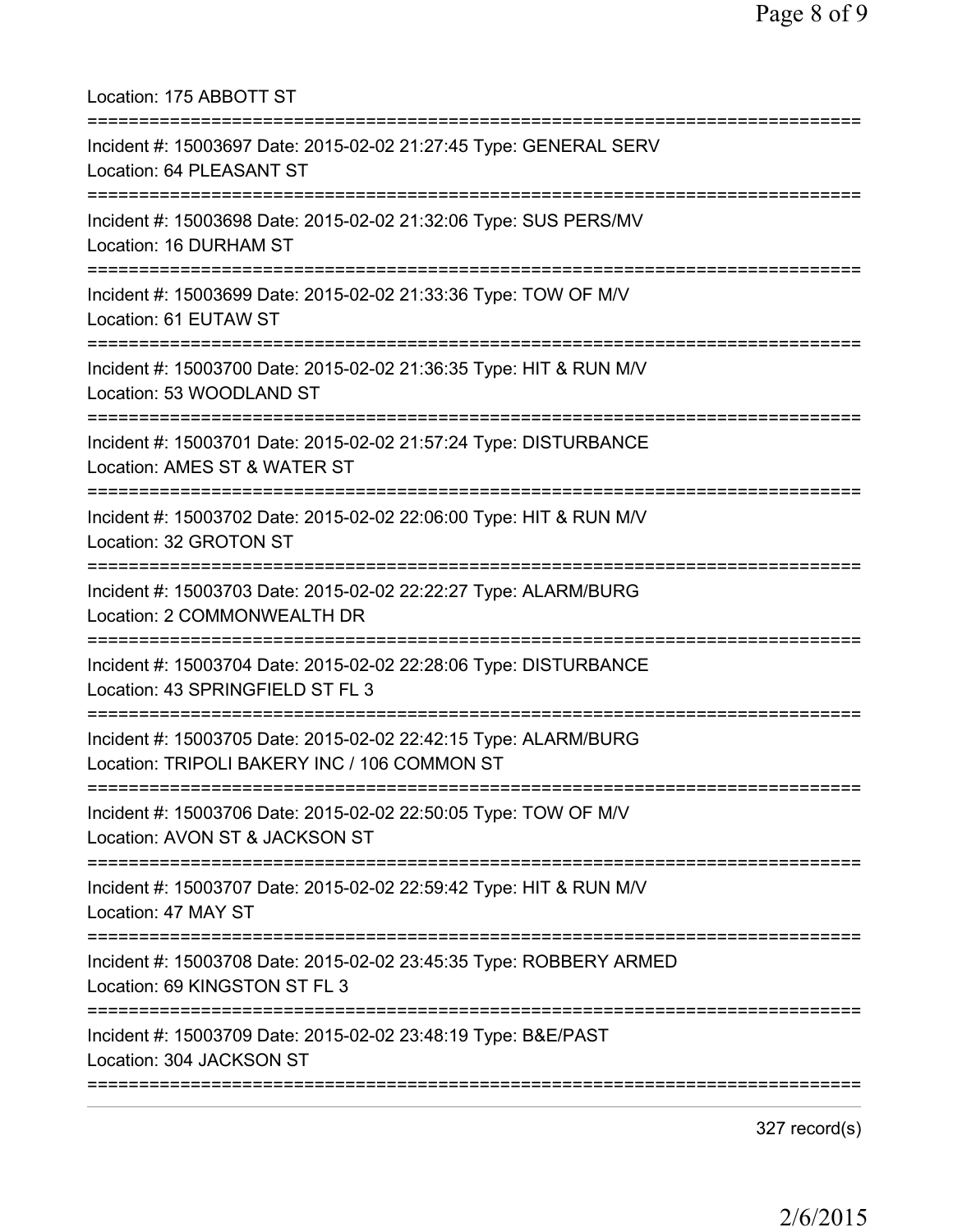| Location: 175 ABBOTT ST                                                                                         |
|-----------------------------------------------------------------------------------------------------------------|
| Incident #: 15003697 Date: 2015-02-02 21:27:45 Type: GENERAL SERV<br>Location: 64 PLEASANT ST                   |
| Incident #: 15003698 Date: 2015-02-02 21:32:06 Type: SUS PERS/MV<br>Location: 16 DURHAM ST                      |
| Incident #: 15003699 Date: 2015-02-02 21:33:36 Type: TOW OF M/V<br>Location: 61 EUTAW ST                        |
| Incident #: 15003700 Date: 2015-02-02 21:36:35 Type: HIT & RUN M/V<br>Location: 53 WOODLAND ST                  |
| Incident #: 15003701 Date: 2015-02-02 21:57:24 Type: DISTURBANCE<br>Location: AMES ST & WATER ST                |
| Incident #: 15003702 Date: 2015-02-02 22:06:00 Type: HIT & RUN M/V<br>Location: 32 GROTON ST                    |
| Incident #: 15003703 Date: 2015-02-02 22:22:27 Type: ALARM/BURG<br>Location: 2 COMMONWEALTH DR                  |
| Incident #: 15003704 Date: 2015-02-02 22:28:06 Type: DISTURBANCE<br>Location: 43 SPRINGFIELD ST FL 3            |
| Incident #: 15003705 Date: 2015-02-02 22:42:15 Type: ALARM/BURG<br>Location: TRIPOLI BAKERY INC / 106 COMMON ST |
| Incident #: 15003706 Date: 2015-02-02 22:50:05 Type: TOW OF M/V<br>Location: AVON ST & JACKSON ST               |
| Incident #: 15003707 Date: 2015-02-02 22:59:42 Type: HIT & RUN M/V<br>Location: 47 MAY ST                       |
| Incident #: 15003708 Date: 2015-02-02 23:45:35 Type: ROBBERY ARMED<br>Location: 69 KINGSTON ST FL 3             |
| Incident #: 15003709 Date: 2015-02-02 23:48:19 Type: B&E/PAST<br>Location: 304 JACKSON ST                       |
|                                                                                                                 |

327 record(s)